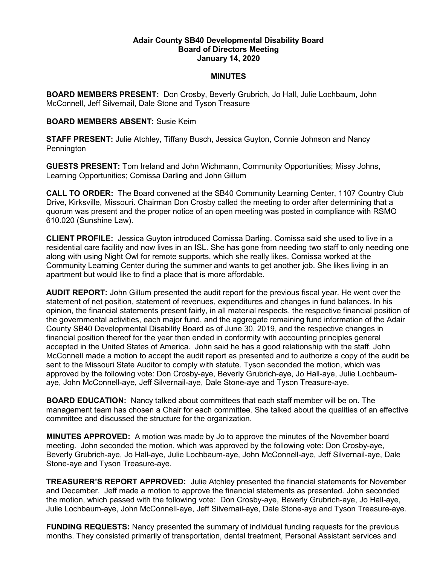## Adair County SB40 Developmental Disability Board Board of Directors Meeting January 14, 2020

## **MINUTES**

BOARD MEMBERS PRESENT: Don Crosby, Beverly Grubrich, Jo Hall, Julie Lochbaum, John McConnell, Jeff Silvernail, Dale Stone and Tyson Treasure

## BOARD MEMBERS ABSENT: Susie Keim

STAFF PRESENT: Julie Atchley, Tiffany Busch, Jessica Guyton, Connie Johnson and Nancy Pennington

GUESTS PRESENT: Tom Ireland and John Wichmann, Community Opportunities; Missy Johns, Learning Opportunities; Comissa Darling and John Gillum

CALL TO ORDER: The Board convened at the SB40 Community Learning Center, 1107 Country Club Drive, Kirksville, Missouri. Chairman Don Crosby called the meeting to order after determining that a quorum was present and the proper notice of an open meeting was posted in compliance with RSMO 610.020 (Sunshine Law).

CLIENT PROFILE: Jessica Guyton introduced Comissa Darling. Comissa said she used to live in a residential care facility and now lives in an ISL. She has gone from needing two staff to only needing one along with using Night Owl for remote supports, which she really likes. Comissa worked at the Community Learning Center during the summer and wants to get another job. She likes living in an apartment but would like to find a place that is more affordable.

AUDIT REPORT: John Gillum presented the audit report for the previous fiscal year. He went over the statement of net position, statement of revenues, expenditures and changes in fund balances. In his opinion, the financial statements present fairly, in all material respects, the respective financial position of the governmental activities, each major fund, and the aggregate remaining fund information of the Adair County SB40 Developmental Disability Board as of June 30, 2019, and the respective changes in financial position thereof for the year then ended in conformity with accounting principles general accepted in the United States of America. John said he has a good relationship with the staff. John McConnell made a motion to accept the audit report as presented and to authorize a copy of the audit be sent to the Missouri State Auditor to comply with statute. Tyson seconded the motion, which was approved by the following vote: Don Crosby-aye, Beverly Grubrich-aye, Jo Hall-aye, Julie Lochbaumaye, John McConnell-aye, Jeff Silvernail-aye, Dale Stone-aye and Tyson Treasure-aye.

BOARD EDUCATION: Nancy talked about committees that each staff member will be on. The management team has chosen a Chair for each committee. She talked about the qualities of an effective committee and discussed the structure for the organization.

MINUTES APPROVED: A motion was made by Jo to approve the minutes of the November board meeting. John seconded the motion, which was approved by the following vote: Don Crosby-aye, Beverly Grubrich-aye, Jo Hall-aye, Julie Lochbaum-aye, John McConnell-aye, Jeff Silvernail-aye, Dale Stone-aye and Tyson Treasure-aye.

**TREASURER'S REPORT APPROVED:** Julie Atchley presented the financial statements for November and December. Jeff made a motion to approve the financial statements as presented. John seconded the motion, which passed with the following vote: Don Crosby-aye, Beverly Grubrich-aye, Jo Hall-aye, Julie Lochbaum-aye, John McConnell-aye, Jeff Silvernail-aye, Dale Stone-aye and Tyson Treasure-aye.

**FUNDING REQUESTS:** Nancy presented the summary of individual funding requests for the previous months. They consisted primarily of transportation, dental treatment, Personal Assistant services and